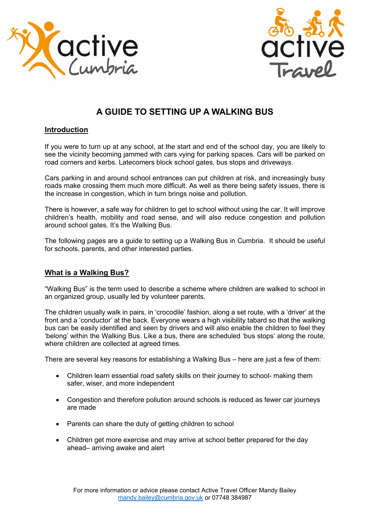



# **A GUIDE TO SETTING UP A WALKING BUS**

## **Introduction**

If you were to turn up at any school, at the start and end of the school day, you are likely to see the vicinity becoming jammed with cars vying for parking spaces. Cars will be parked on road corners and kerbs. Latecomers block school gates, bus stops and driveways.

Cars parking in and around school entrances can put children at risk, and increasingly busy roads make crossing them much more difficult. As well as there being safety issues, there is the increase in congestion, which in turn brings noise and pollution.

There is however, a safe way for children to get to school without using the car. It will improve children's health, mobility and road sense, and will also reduce congestion and pollution around school gates. It's the Walking Bus.

The following pages are a guide to setting up a Walking Bus in Cumbria. It should be useful for schools, parents, and other interested parties.

# **What is a Walking Bus?**

"Walking Bus" is the term used to describe a scheme where children are walked to school in an organized group, usually led by volunteer parents.

The children usually walk in pairs, in 'crocodile' fashion, along a set route, with a 'driver' at the front and a 'conductor' at the back. Everyone wears a high visibility tabard so that the walking bus can be easily identified and seen by drivers and will also enable the children to feel they 'belong' within the Walking Bus. Like a bus, there are scheduled 'bus stops' along the route, where children are collected at agreed times.

There are several key reasons for establishing a Walking Bus – here are just a few of them:

- Children learn essential road safety skills on their journey to school- making them safer, wiser, and more independent
- Congestion and therefore pollution around schools is reduced as fewer car journeys are made
- Parents can share the duty of getting children to school
- Children get more exercise and may arrive at school better prepared for the day ahead– arriving awake and alert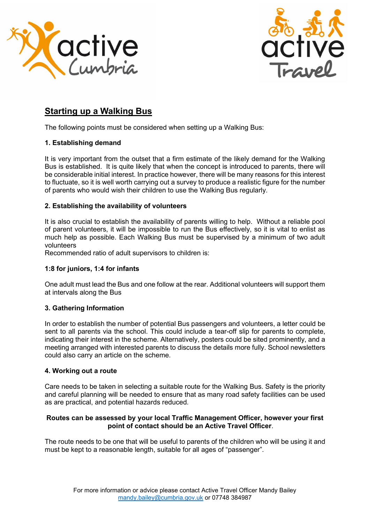



# **Starting up a Walking Bus**

The following points must be considered when setting up a Walking Bus:

## **1. Establishing demand**

It is very important from the outset that a firm estimate of the likely demand for the Walking Bus is established. It is quite likely that when the concept is introduced to parents, there will be considerable initial interest. In practice however, there will be many reasons for this interest to fluctuate, so it is well worth carrying out a survey to produce a realistic figure for the number of parents who would wish their children to use the Walking Bus regularly.

# **2. Establishing the availability of volunteers**

It is also crucial to establish the availability of parents willing to help. Without a reliable pool of parent volunteers, it will be impossible to run the Bus effectively, so it is vital to enlist as much help as possible. Each Walking Bus must be supervised by a minimum of two adult volunteers

Recommended ratio of adult supervisors to children is:

### **1:8 for juniors, 1:4 for infants**

One adult must lead the Bus and one follow at the rear. Additional volunteers will support them at intervals along the Bus

### **3. Gathering Information**

In order to establish the number of potential Bus passengers and volunteers, a letter could be sent to all parents via the school. This could include a tear-off slip for parents to complete, indicating their interest in the scheme. Alternatively, posters could be sited prominently, and a meeting arranged with interested parents to discuss the details more fully. School newsletters could also carry an article on the scheme.

### **4. Working out a route**

Care needs to be taken in selecting a suitable route for the Walking Bus. Safety is the priority and careful planning will be needed to ensure that as many road safety facilities can be used as are practical, and potential hazards reduced.

### **Routes can be assessed by your local Traffic Management Officer, however your first point of contact should be an Active Travel Officer**.

The route needs to be one that will be useful to parents of the children who will be using it and must be kept to a reasonable length, suitable for all ages of "passenger".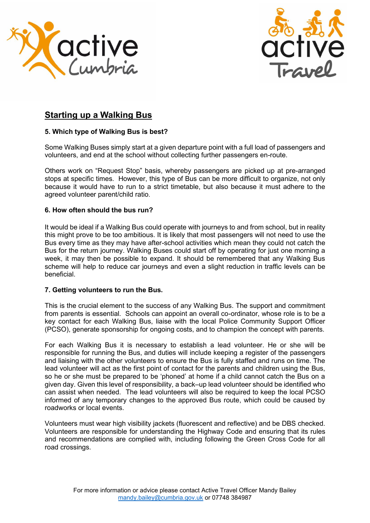



# **Starting up a Walking Bus**

## **5. Which type of Walking Bus is best?**

Some Walking Buses simply start at a given departure point with a full load of passengers and volunteers, and end at the school without collecting further passengers en-route.

Others work on "Request Stop" basis, whereby passengers are picked up at pre-arranged stops at specific times. However, this type of Bus can be more difficult to organize, not only because it would have to run to a strict timetable, but also because it must adhere to the agreed volunteer parent/child ratio.

### **6. How often should the bus run?**

It would be ideal if a Walking Bus could operate with journeys to and from school, but in reality this might prove to be too ambitious. It is likely that most passengers will not need to use the Bus every time as they may have after-school activities which mean they could not catch the Bus for the return journey. Walking Buses could start off by operating for just one morning a week, it may then be possible to expand. It should be remembered that any Walking Bus scheme will help to reduce car journeys and even a slight reduction in traffic levels can be beneficial.

### **7. Getting volunteers to run the Bus.**

This is the crucial element to the success of any Walking Bus. The support and commitment from parents is essential. Schools can appoint an overall co-ordinator, whose role is to be a key contact for each Walking Bus, liaise with the local Police Community Support Officer (PCSO), generate sponsorship for ongoing costs, and to champion the concept with parents.

For each Walking Bus it is necessary to establish a lead volunteer. He or she will be responsible for running the Bus, and duties will include keeping a register of the passengers and liaising with the other volunteers to ensure the Bus is fully staffed and runs on time. The lead volunteer will act as the first point of contact for the parents and children using the Bus, so he or she must be prepared to be 'phoned' at home if a child cannot catch the Bus on a given day. Given this level of responsibility, a back–up lead volunteer should be identified who can assist when needed. The lead volunteers will also be required to keep the local PCSO informed of any temporary changes to the approved Bus route, which could be caused by roadworks or local events.

Volunteers must wear high visibility jackets (fluorescent and reflective) and be DBS checked. Volunteers are responsible for understanding the Highway Code and ensuring that its rules and recommendations are complied with, including following the Green Cross Code for all road crossings.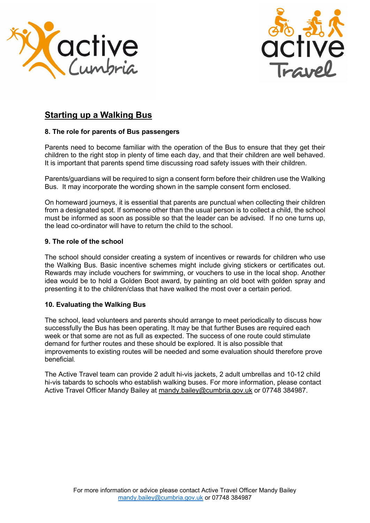



# **Starting up a Walking Bus**

### **8. The role for parents of Bus passengers**

Parents need to become familiar with the operation of the Bus to ensure that they get their children to the right stop in plenty of time each day, and that their children are well behaved. It is important that parents spend time discussing road safety issues with their children.

Parents/guardians will be required to sign a consent form before their children use the Walking Bus. It may incorporate the wording shown in the sample consent form enclosed.

On homeward journeys, it is essential that parents are punctual when collecting their children from a designated spot. If someone other than the usual person is to collect a child, the school must be informed as soon as possible so that the leader can be advised. If no one turns up, the lead co-ordinator will have to return the child to the school.

### **9. The role of the school**

The school should consider creating a system of incentives or rewards for children who use the Walking Bus. Basic incentive schemes might include giving stickers or certificates out. Rewards may include vouchers for swimming, or vouchers to use in the local shop. Another idea would be to hold a Golden Boot award, by painting an old boot with golden spray and presenting it to the children/class that have walked the most over a certain period.

### **10. Evaluating the Walking Bus**

The school, lead volunteers and parents should arrange to meet periodically to discuss how successfully the Bus has been operating. It may be that further Buses are required each week or that some are not as full as expected. The success of one route could stimulate demand for further routes and these should be explored. It is also possible that improvements to existing routes will be needed and some evaluation should therefore prove beneficial.

The Active Travel team can provide 2 adult hi-vis jackets, 2 adult umbrellas and 10-12 child hi-vis tabards to schools who establish walking buses. For more information, please contact Active Travel Officer Mandy Bailey at [mandy.bailey@cumbria.gov.uk](mailto:mandy.bailey@cumbria.gov.uk) or 07748 384987.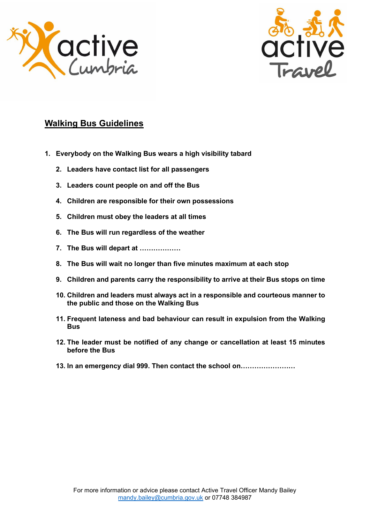



# **Walking Bus Guidelines**

- **1. Everybody on the Walking Bus wears a high visibility tabard**
	- **2. Leaders have contact list for all passengers**
	- **3. Leaders count people on and off the Bus**
	- **4. Children are responsible for their own possessions**
	- **5. Children must obey the leaders at all times**
	- **6. The Bus will run regardless of the weather**
	- **7. The Bus will depart at ………………**
	- **8. The Bus will wait no longer than five minutes maximum at each stop**
	- **9. Children and parents carry the responsibility to arrive at their Bus stops on time**
	- **10. Children and leaders must always act in a responsible and courteous manner to the public and those on the Walking Bus**
	- **11. Frequent lateness and bad behaviour can result in expulsion from the Walking Bus**
	- **12. The leader must be notified of any change or cancellation at least 15 minutes before the Bus**
	- **13. In an emergency dial 999. Then contact the school on……………………**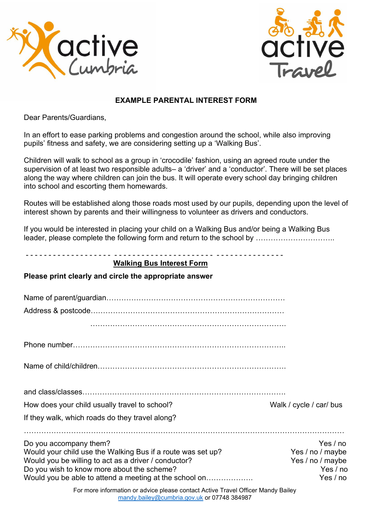



# **EXAMPLE PARENTAL INTEREST FORM**

Dear Parents/Guardians,

In an effort to ease parking problems and congestion around the school, while also improving pupils' fitness and safety, we are considering setting up a 'Walking Bus'.

Children will walk to school as a group in 'crocodile' fashion, using an agreed route under the supervision of at least two responsible adults– a 'driver' and a 'conductor'. There will be set places along the way where children can join the bus. It will operate every school day bringing children into school and escorting them homewards.

Routes will be established along those roads most used by our pupils, depending upon the level of interest shown by parents and their willingness to volunteer as drivers and conductors.

If you would be interested in placing your child on a Walking Bus and/or being a Walking Bus leader, please complete the following form and return to the school by …………………………

| <b>Walking Bus Interest Form</b><br>Please print clearly and circle the appropriate answer         |                                |  |
|----------------------------------------------------------------------------------------------------|--------------------------------|--|
|                                                                                                    |                                |  |
|                                                                                                    |                                |  |
|                                                                                                    |                                |  |
|                                                                                                    |                                |  |
|                                                                                                    |                                |  |
|                                                                                                    |                                |  |
| How does your child usually travel to school?                                                      | Walk / cycle / car/ bus        |  |
| If they walk, which roads do they travel along?                                                    |                                |  |
| Do you accompany them?                                                                             | Yes / no                       |  |
| Would your child use the Walking Bus if a route was set up?                                        | Yes / no / maybe               |  |
| Would you be willing to act as a driver / conductor?<br>Do you wish to know more about the scheme? | Yes / no / maybe<br>Yes $/$ no |  |
| Would you be able to attend a meeting at the school on                                             | Yes / no                       |  |
| For more information or advice please contact Active Travel Officer Mandy Railey                   |                                |  |

For more information or advice please contact Active Travel Officer Mandy Bailey [mandy.bailey@cumbria.gov.uk](mailto:mandy.bailey@cumbria.gov.uk) or 07748 384987